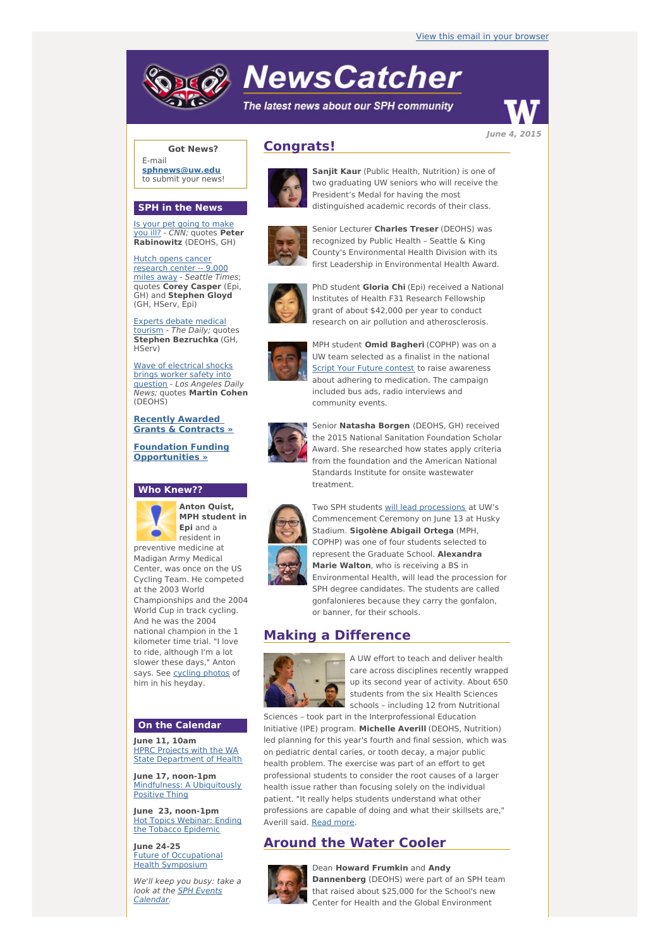# **NewsCatcher**

The latest news about our SPH community



**Got News?**

E-mail **[sphnews@uw.edu](mailto:sphnews@uw.edu)** to submit your news!

#### **SPH in the News**

Is your pet going to make you ill? - CNN; [quotes](http://engage.washington.edu/site/R?i=D6SFKX9tIL7KHofUofivoQ) **Peter Rabinowitz** (DEOHS, GH)

Hutch opens cancer [research](http://engage.washington.edu/site/R?i=IbyWTV7fYev8EhTEeonA3g) center -- 9,000 miles away - Seattle Times; quotes **Corey Casper** (Epi, GH) and **Stephen Gloyd** (GH, HServ, Epi)

Experts debate [medical](http://engage.washington.edu/site/R?i=fn3GhS-u1I6AUwQppggJRw) tourism - The Daily; quotes **Stephen Bezruchka** (GH, HServ)

Wave of [electrical](http://engage.washington.edu/site/R?i=4rRSvrFhPrdtgAC-ZOxKSg) shocks brings worker safety into question - Los Angeles Daily News; quotes **Martin Cohen** (DEOHS)

**Recently Awarded Grants & [Contracts](http://engage.washington.edu/site/R?i=aoUUSFJzPkOJAHFC7BkIaA) »**

**Foundation Funding [Opportunities](http://engage.washington.edu/site/R?i=ldCBteGjsP3sn_-sXuht_g) »**

## **Who Knew??**



**Anton Quist, MPH student in Epi** and a resident in

preventive medicine at Madigan Army Medical Center, was once on the US Cycling Team. He competed at the 2003 World Championships and the 2004 World Cup in track cycling. And he was the 2004 national champion in the 1 kilometer time trial. "I love to ride, although I'm a lot slower these days," Anton says. See [cycling](http://engage.washington.edu/site/R?i=cr2Jlt0jXVK500LZTXS8Ww) photos of him in his heyday.

## **On the Calendar**

**June 11, 10am** HPRC Projects with the WA **State [Department](http://engage.washington.edu/site/R?i=OlrA-qhx0EOpFh1k2JhtxQ) of Health** 

**June 17, noon-1pm** [Mindfulness:](http://engage.washington.edu/site/R?i=WbgPXxbijFSYTj4KRqjbeQ) A Ubiquitously Positive Thing

**June 23, noon-1pm** Hot Topics Webinar: Ending the Tobacco [Epidemic](http://engage.washington.edu/site/R?i=hQrsfz5nM6UT0v8z4PdGXA)

**June 24-25** Future of [Occupational](http://engage.washington.edu/site/R?i=k_FEcrEm_K9dGY0UQzhodA) Health Symposium

We'll keep you busy: take a look at the SPH Events [Calendar.](http://engage.washington.edu/site/R?i=1znupM0TrIKQfGB2m7Kwgg)

## **Congrats!**



**Sanjit Kaur** (Public Health, Nutrition) is one of two graduating UW seniors who will receive the President's Medal for having the most distinguished academic records of their class.



Senior Lecturer **Charles Treser** (DEOHS) was recognized by Public Health – Seattle & King County's Environmental Health Division with its first Leadership in Environmental Health Award.



PhD student **Gloria Chi** (Epi) received a National Institutes of Health F31 Research Fellowship grant of about \$42,000 per year to conduct research on air pollution and atherosclerosis.



UW team selected as a finalist in the national **Script Your Future [contest](http://engage.washington.edu/site/R?i=GLPU22XpoQ0m31-QjrOV8g) to raise awareness** about adhering to medication. The campaign included bus ads, radio interviews and community events.



Senior **Natasha Borgen** (DEOHS, GH) received the 2015 National Sanitation Foundation Scholar Award. She researched how states apply criteria from the foundation and the American National Standards Institute for onsite wastewater treatment.

Two SPH students will lead [processions](http://engage.washington.edu/site/R?i=a35SqSZVDh3tcJC3x4rfQQ) at UW's



Commencement Ceremony on June 13 at Husky Stadium. **Sigolène Abigail Ortega** (MPH, COPHP) was one of four students selected to represent the Graduate School. **Alexandra Marie Walton**, who is receiving a BS in Environmental Health, will lead the procession for SPH degree candidates. The students are called gonfalonieres because they carry the gonfalon, or banner, for their schools.

## **Making a Difference**



A UW effort to teach and deliver health care across disciplines recently wrapped up its second year of activity. About 650 students from the six Health Sciences schools – including 12 from Nutritional

Sciences – took part in the Interprofessional Education Initiative (IPE) program. **Michelle Averill** (DEOHS, Nutrition) led planning for this year's fourth and final session, which was on pediatric dental caries, or tooth decay, a major public health problem. The exercise was part of an effort to get professional students to consider the root causes of a larger health issue rather than focusing solely on the individual patient. "It really helps students understand what other professions are capable of doing and what their skillsets are," Averill said. [Read](http://engage.washington.edu/site/R?i=GBp3YtdF8y3Hctg0V1TFmg) more.

## **Around the Water Cooler**



Dean **Howard Frumkin** and **Andy Dannenberg** (DEOHS) were part of an SPH team that raised about \$25,000 for the School's new Center for Health and the Global Environment





MPH student **Omid Bagheri** (COPHP) was on a